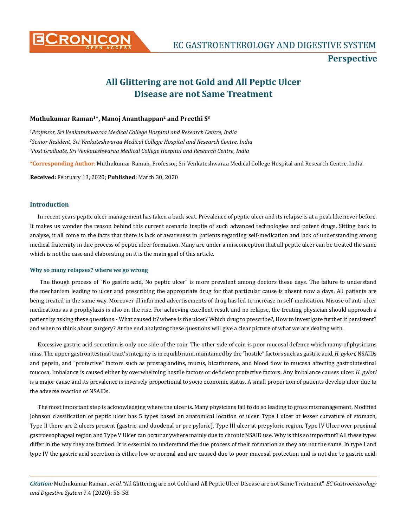

# **Perspective**

# **All Glittering are not Gold and All Peptic Ulcer Disease are not Same Treatment**

## **Muthukumar Raman1\*, Manoj Ananthappan2 and Preethi S3**

*1 Professor, Sri Venkateshwaraa Medical College Hospital and Research Centre, India 2 Senior Resident, Sri Venkateshwaraa Medical College Hospital and Research Centre, India 3 Post Graduate, Sri Venkateshwaraa Medical College Hospital and Research Centre, India*

**\*Corresponding Author**: Muthukumar Raman, Professor, Sri Venkateshwaraa Medical College Hospital and Research Centre, India.

**Received:** February 13, 2020; **Published:** March 30, 2020

### **Introduction**

In recent years peptic ulcer management has taken a back seat. Prevalence of peptic ulcer and its relapse is at a peak like never before. It makes us wonder the reason behind this current scenario inspite of such advanced technologies and potent drugs. Sitting back to analyse, it all come to the facts that there is lack of awareness in patients regarding self-medication and lack of understanding among medical fraternity in due process of peptic ulcer formation. Many are under a misconception that all peptic ulcer can be treated the same which is not the case and elaborating on it is the main goal of this article.

#### **Why so many relapses? where we go wrong**

 The though process of "No gastric acid, No peptic ulcer" is more prevalent among doctors these days. The failure to understand the mechanism leading to ulcer and prescribing the appropriate drug for that particular cause is absent now a days. All patients are being treated in the same way. Moreover ill informed advertisements of drug has led to increase in self-medication. Misuse of anti-ulcer medications as a prophylaxis is also on the rise. For achieving excellent result and no relapse, the treating physician should approach a patient by asking these questions - What caused it? where is the ulcer? Which drug to prescribe?, How to investigate further if persistent? and when to think about surgery? At the end analyzing these questions will give a clear picture of what we are dealing with.

Excessive gastric acid secretion is only one side of the coin. The other side of coin is poor mucosal defence which many of physicians miss. The upper gastrointestinal tract's integrity is in equilibrium, maintained by the "hostile" factors such as gastric acid, *H. pylori*, NSAIDs and pepsin, and "protective" factors such as prostaglandins, mucus, bicarbonate, and blood flow to mucosa affecting gastrointestinal mucosa. Imbalance is caused either by overwhelming hostile factors or deficient protective factors. Any imbalance causes ulcer. *H. pylori* is a major cause and its prevalence is inversely proportional to socio economic status. A small proportion of patients develop ulcer due to the adverse reaction of NSAIDs.

The most important step is acknowledging where the ulcer is. Many physicians fail to do so leading to gross mismanagement. Modified Johnson classification of peptic ulcer has 5 types based on anatomical location of ulcer. Type I ulcer at lesser curvature of stomach, Type II there are 2 ulcers present (gastric, and duodenal or pre pyloric), Type III ulcer at prepyloric region, Type IV Ulcer over proximal gastroesophageal region and Type V Ulcer can occur anywhere mainly due to chronic NSAID use. Why is this so important? All these types differ in the way they are formed. It is essential to understand the due process of their formation as they are not the same. In type I and type IV the gastric acid secretion is either low or normal and are caused due to poor mucosal protection and is not due to gastric acid.

*Citation:* Muthukumar Raman., *et al*. "All Glittering are not Gold and All Peptic Ulcer Disease are not Same Treatment". *EC Gastroenterology and Digestive System* 7.4 (2020): 56-58.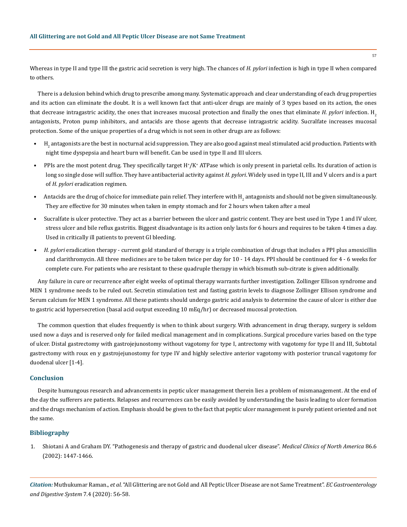Whereas in type II and type III the gastric acid secretion is very high. The chances of *H. pylori* infection is high in type II when compared to others.

There is a delusion behind which drug to prescribe among many. Systematic approach and clear understanding of each drug properties and its action can eliminate the doubt. It is a well known fact that anti-ulcer drugs are mainly of 3 types based on its action, the ones that decrease intragastric acidity, the ones that increases mucosal protection and finally the ones that eliminate *H. pylori* infection. H2 antagonists, Proton pump inhibitors, and antacids are those agents that decrease intragastric acidity. Sucralfate increases mucosal protection. Some of the unique properties of a drug which is not seen in other drugs are as follows:

- $\bullet$   $\,$  H $_2$  antagonists are the best in nocturnal acid suppression. They are also good against meal stimulated acid production. Patients with night time dyspepsia and heart burn will benefit. Can be used in type II and III ulcers.
- PPIs are the most potent drug. They specifically target H<sup>+</sup>/K<sup>+</sup> ATPase which is only present in parietal cells. Its duration of action is long so single dose will suffice. They have antibacterial activity against *H. pylori*. Widely used in type II, III and V ulcers and is a part of *H. pylori* eradication regimen.
- Antacids are the drug of choice for immediate pain relief. They interfere with  ${\rm H_2}$  antagonists and should not be given simultaneously. They are effective for 30 minutes when taken in empty stomach and for 2 hours when taken after a meal
- Sucralfate is ulcer protective. They act as a barrier between the ulcer and gastric content. They are best used in Type 1 and IV ulcer, stress ulcer and bile reflux gastritis. Biggest disadvantage is its action only lasts for 6 hours and requires to be taken 4 times a day. Used in critically ill patients to prevent GI bleeding.
- *• H. pylori* eradication therapy current gold standard of therapy is a triple combination of drugs that includes a PPI plus amoxicillin and clarithromycin. All three medicines are to be taken twice per day for 10 - 14 days. PPI should be continued for 4 - 6 weeks for complete cure. For patients who are resistant to these quadruple therapy in which bismuth sub-citrate is given additionally.

Any failure in cure or recurrence after eight weeks of optimal therapy warrants further investigation. Zollinger Ellison syndrome and MEN 1 syndrome needs to be ruled out. Secretin stimulation test and fasting gastrin levels to diagnose Zollinger Ellison syndrome and Serum calcium for MEN 1 syndrome. All these patients should undergo gastric acid analysis to determine the cause of ulcer is either due to gastric acid hypersecretion (basal acid output exceeding 10 mEq/hr) or decreased mucosal protection.

The common question that eludes frequently is when to think about surgery. With advancement in drug therapy, surgery is seldom used now a days and is reserved only for failed medical management and in complications. Surgical procedure varies based on the type of ulcer. Distal gastrectomy with gastrojejunostomy without vagotomy for type I, antrectomy with vagotomy for type II and III, Subtotal gastrectomy with roux en y gastrojejunostomy for type IV and highly selective anterior vagotomy with posterior truncal vagotomy for duodenal ulcer [1-4].

#### **Conclusion**

Despite humungous research and advancements in peptic ulcer management therein lies a problem of mismanagement. At the end of the day the sufferers are patients. Relapses and recurrences can be easily avoided by understanding the basis leading to ulcer formation and the drugs mechanism of action. Emphasis should be given to the fact that peptic ulcer management is purely patient oriented and not the same.

### **Bibliography**

1. [Shiotani A and Graham DY. "Pathogenesis and therapy of gastric and duodenal ulcer disease".](https://www.ncbi.nlm.nih.gov/pubmed/12510460) *Medical Clinics of North America* 86.6 [\(2002\): 1447-1466.](https://www.ncbi.nlm.nih.gov/pubmed/12510460)

*Citation:* Muthukumar Raman., *et al*. "All Glittering are not Gold and All Peptic Ulcer Disease are not Same Treatment". *EC Gastroenterology and Digestive System* 7.4 (2020): 56-58.

57